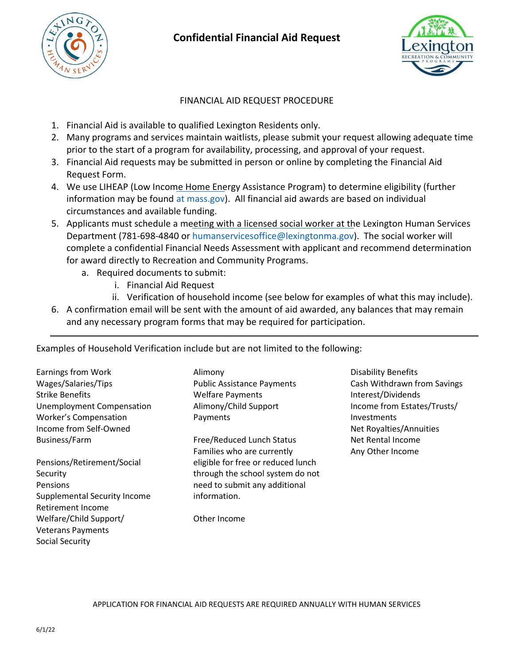

## **Confidential Financial Aid Request**



## FINANCIAL AID REQUEST PROCEDURE

- 1. Financial Aid is available to qualified Lexington Residents only.
- 2. Many programs and services maintain waitlists, please submit your request allowing adequate time prior to the start of a program for availability, processing, and approval of your request.
- 3. Financial Aid requests may be submitted in person or online by completing the Financial Aid Request Form.
- 4. We use LIHEAP (Low Income Home Energy Assistance Program) to determine eligibility (further information may be found [at mass.gov\)](https://www.mass.gov/service-details/learn-about-low-income-home-energy-assistance-program-liheap). All financial aid awards are based on individual circumstances and available funding.
- 5. Applicants must schedule a meeting with a licensed social worker at the Lexington Human Services Department (781-698-4840 or [humanservicesoffice@lexingtonma.gov\)](mailto:humanservicesoffice@lexingtonma.gov). The social worker will complete a confidential Financial Needs Assessment with applicant and recommend determination for award directly to Recreation and Community Programs.
	- a. Required documents to submit:
		- i. Financial Aid Request
		- ii. Verification of household income (see below for examples of what this may include).
- 6. A confirmation email will be sent with the amount of aid awarded, any balances that may remain and any necessary program forms that may be required for participation.

Examples of Household Verification include but are not limited to the following:

Earnings from Work Wages/Salaries/Tips Strike Benefits Unemployment Compensation Worker's Compensation Income from Self-Owned Business/Farm

Pensions/Retirement/Social Security Pensions Supplemental Security Income Retirement Income Welfare/Child Support/ Veterans Payments Social Security

Alimony Public Assistance Payments Welfare Payments Alimony/Child Support Payments

Free/Reduced Lunch Status Families who are currently eligible for free or reduced lunch through the school system do not need to submit any additional information.

Other Income

Disability Benefits Cash Withdrawn from Savings Interest/Dividends Income from Estates/Trusts/ Investments Net Royalties/Annuities Net Rental Income Any Other Income

APPLICATION FOR FINANCIAL AID REQUESTS ARE REQUIRED ANNUALLY WITH HUMAN SERVICES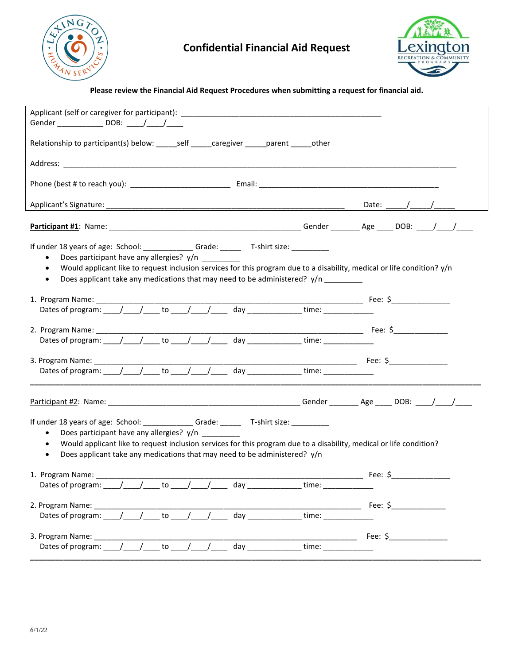

## **Confidential Financial Aid Request**



## **Please review the Financial Aid Request Procedures when submitting a request for financial aid.**

| If under 18 years of age: School: _____________Grade: ________T-shirt size: __________<br>Does participant have any allergies? y/n<br>$\bullet$<br>Would applicant like to request inclusion services for this program due to a disability, medical or life condition? y/n<br>$\bullet$<br>Does applicant take any medications that may need to be administered? $y/n$ _________<br>$\bullet$<br>If under 18 years of age: School: ______________Grade: ________T-shirt size: ___________<br>Does participant have any allergies? y/n<br>$\bullet$<br>Would applicant like to request inclusion services for this program due to a disability, medical or life condition?<br>$\bullet$<br>Does applicant take any medications that may need to be administered? y/n<br>$\bullet$<br>1. Program Name: ____________<br>2. Program Name: _____<br>Fee: $\zeta$<br>to<br>Dates of program: / /<br>time:<br>3. Program Name:<br>Fee: \$<br>to<br>Dates of program: | Applicant (self or caregiver for participant): __________________________________ |  |
|---------------------------------------------------------------------------------------------------------------------------------------------------------------------------------------------------------------------------------------------------------------------------------------------------------------------------------------------------------------------------------------------------------------------------------------------------------------------------------------------------------------------------------------------------------------------------------------------------------------------------------------------------------------------------------------------------------------------------------------------------------------------------------------------------------------------------------------------------------------------------------------------------------------------------------------------------------------|-----------------------------------------------------------------------------------|--|
|                                                                                                                                                                                                                                                                                                                                                                                                                                                                                                                                                                                                                                                                                                                                                                                                                                                                                                                                                               | Gender _________________ DOB: _____/_____/______                                  |  |
|                                                                                                                                                                                                                                                                                                                                                                                                                                                                                                                                                                                                                                                                                                                                                                                                                                                                                                                                                               |                                                                                   |  |
|                                                                                                                                                                                                                                                                                                                                                                                                                                                                                                                                                                                                                                                                                                                                                                                                                                                                                                                                                               |                                                                                   |  |
|                                                                                                                                                                                                                                                                                                                                                                                                                                                                                                                                                                                                                                                                                                                                                                                                                                                                                                                                                               |                                                                                   |  |
|                                                                                                                                                                                                                                                                                                                                                                                                                                                                                                                                                                                                                                                                                                                                                                                                                                                                                                                                                               |                                                                                   |  |
|                                                                                                                                                                                                                                                                                                                                                                                                                                                                                                                                                                                                                                                                                                                                                                                                                                                                                                                                                               |                                                                                   |  |
|                                                                                                                                                                                                                                                                                                                                                                                                                                                                                                                                                                                                                                                                                                                                                                                                                                                                                                                                                               |                                                                                   |  |
|                                                                                                                                                                                                                                                                                                                                                                                                                                                                                                                                                                                                                                                                                                                                                                                                                                                                                                                                                               |                                                                                   |  |
|                                                                                                                                                                                                                                                                                                                                                                                                                                                                                                                                                                                                                                                                                                                                                                                                                                                                                                                                                               |                                                                                   |  |
|                                                                                                                                                                                                                                                                                                                                                                                                                                                                                                                                                                                                                                                                                                                                                                                                                                                                                                                                                               |                                                                                   |  |
|                                                                                                                                                                                                                                                                                                                                                                                                                                                                                                                                                                                                                                                                                                                                                                                                                                                                                                                                                               |                                                                                   |  |
|                                                                                                                                                                                                                                                                                                                                                                                                                                                                                                                                                                                                                                                                                                                                                                                                                                                                                                                                                               |                                                                                   |  |
|                                                                                                                                                                                                                                                                                                                                                                                                                                                                                                                                                                                                                                                                                                                                                                                                                                                                                                                                                               |                                                                                   |  |
|                                                                                                                                                                                                                                                                                                                                                                                                                                                                                                                                                                                                                                                                                                                                                                                                                                                                                                                                                               |                                                                                   |  |
|                                                                                                                                                                                                                                                                                                                                                                                                                                                                                                                                                                                                                                                                                                                                                                                                                                                                                                                                                               |                                                                                   |  |
|                                                                                                                                                                                                                                                                                                                                                                                                                                                                                                                                                                                                                                                                                                                                                                                                                                                                                                                                                               |                                                                                   |  |
|                                                                                                                                                                                                                                                                                                                                                                                                                                                                                                                                                                                                                                                                                                                                                                                                                                                                                                                                                               |                                                                                   |  |
|                                                                                                                                                                                                                                                                                                                                                                                                                                                                                                                                                                                                                                                                                                                                                                                                                                                                                                                                                               |                                                                                   |  |
|                                                                                                                                                                                                                                                                                                                                                                                                                                                                                                                                                                                                                                                                                                                                                                                                                                                                                                                                                               |                                                                                   |  |
|                                                                                                                                                                                                                                                                                                                                                                                                                                                                                                                                                                                                                                                                                                                                                                                                                                                                                                                                                               |                                                                                   |  |
|                                                                                                                                                                                                                                                                                                                                                                                                                                                                                                                                                                                                                                                                                                                                                                                                                                                                                                                                                               |                                                                                   |  |
|                                                                                                                                                                                                                                                                                                                                                                                                                                                                                                                                                                                                                                                                                                                                                                                                                                                                                                                                                               |                                                                                   |  |
|                                                                                                                                                                                                                                                                                                                                                                                                                                                                                                                                                                                                                                                                                                                                                                                                                                                                                                                                                               |                                                                                   |  |
|                                                                                                                                                                                                                                                                                                                                                                                                                                                                                                                                                                                                                                                                                                                                                                                                                                                                                                                                                               |                                                                                   |  |
|                                                                                                                                                                                                                                                                                                                                                                                                                                                                                                                                                                                                                                                                                                                                                                                                                                                                                                                                                               |                                                                                   |  |
|                                                                                                                                                                                                                                                                                                                                                                                                                                                                                                                                                                                                                                                                                                                                                                                                                                                                                                                                                               |                                                                                   |  |